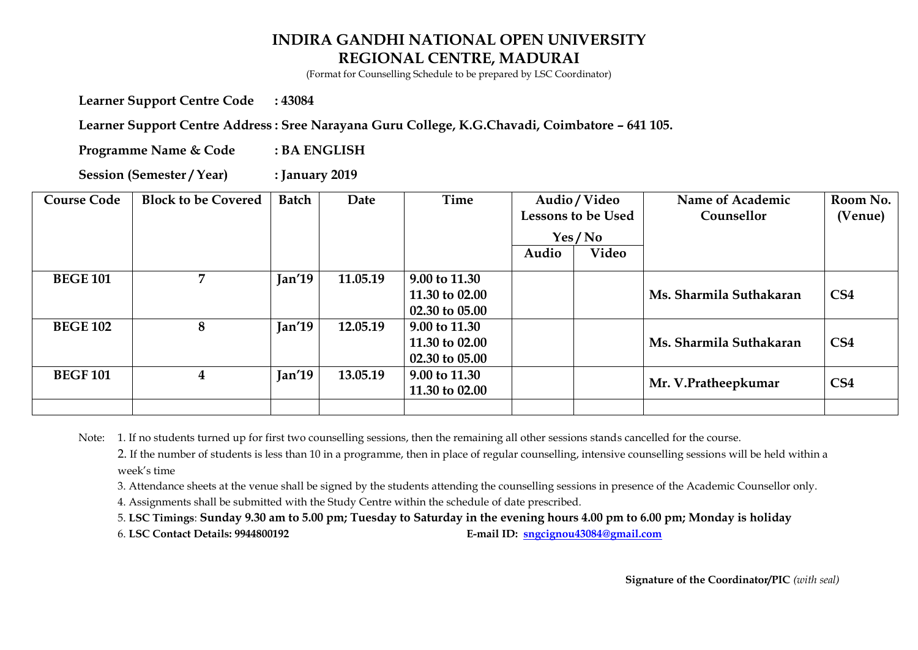(Format for Counselling Schedule to be prepared by LSC Coordinator)

**Learner Support Centre Code : 43084** 

Learner Support Centre Address : Sree Narayana Guru College, K.G.Chavadi, Coimbatore - 641 105.

**Programme Name & Code : BA ENGLISH** 

**Session (Semester / Year) : January 2019** 

| <b>Course Code</b> | <b>Block to be Covered</b> | <b>Batch</b> | Date     | <b>Time</b>                                       | Audio / Video<br><b>Lessons to be Used</b> |        | Name of Academic<br>Counsellor | Room No.<br>(Venue) |
|--------------------|----------------------------|--------------|----------|---------------------------------------------------|--------------------------------------------|--------|--------------------------------|---------------------|
|                    |                            |              |          |                                                   |                                            | Yes/No |                                |                     |
|                    |                            |              |          |                                                   | Audio                                      | Video  |                                |                     |
| <b>BEGE 101</b>    | 7                          | Jan'19       | 11.05.19 | 9.00 to 11.30<br>11.30 to 02.00<br>02.30 to 05.00 |                                            |        | Ms. Sharmila Suthakaran        | CS <sub>4</sub>     |
| <b>BEGE 102</b>    | 8                          | Jan'19       | 12.05.19 | 9.00 to 11.30<br>11.30 to 02.00<br>02.30 to 05.00 |                                            |        | Ms. Sharmila Suthakaran        | CS <sub>4</sub>     |
| <b>BEGF101</b>     | $\bf 4$                    | Jan'19       | 13.05.19 | 9.00 to 11.30<br>11.30 to 02.00                   |                                            |        | Mr. V.Pratheepkumar            | CS <sub>4</sub>     |
|                    |                            |              |          |                                                   |                                            |        |                                |                     |

Note: 1. If no students turned up for first two counselling sessions, then the remaining all other sessions stands cancelled for the course.

2. If the number of students is less than 10 in a programme, then in place of regular counselling, intensive counselling sessions will be held within a week's time

3. Attendance sheets at the venue shall be signed by the students attending the counselling sessions in presence of the Academic Counsellor only.

4. Assignments shall be submitted with the Study Centre within the schedule of date prescribed.

5. **LSC Timings**: **Sunday 9.30 am to 5.00 pm; Tuesday to Saturday in the evening hours 4.00 pm to 6.00 pm; Monday is holiday** 

6. **LSC Contact Details: 9944800192 E-mail ID: [sngcignou43084@gmail.com](mailto:sngcignou43084@gmail.com)**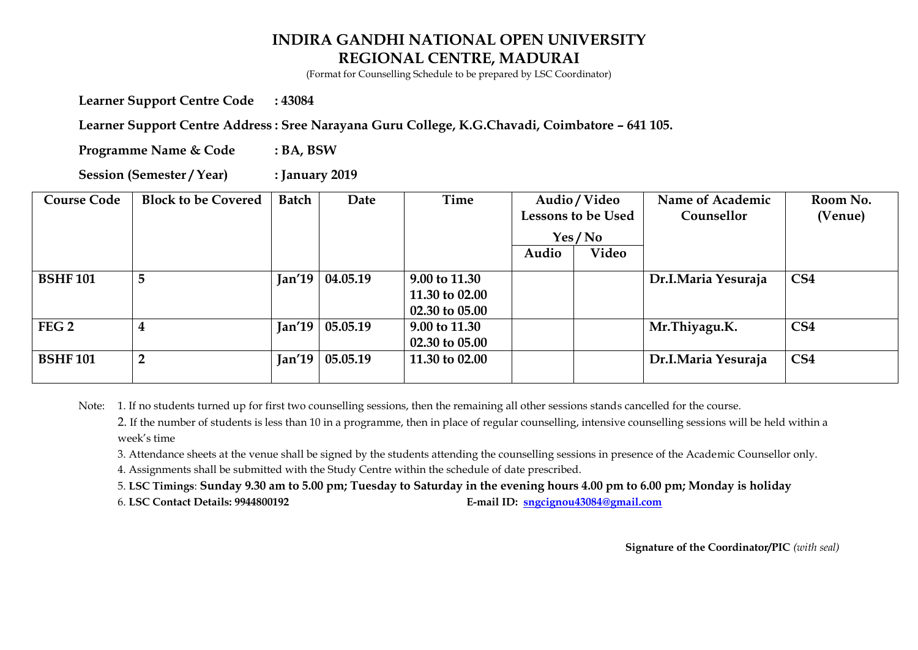(Format for Counselling Schedule to be prepared by LSC Coordinator)

**Learner Support Centre Code : 43084** 

Learner Support Centre Address : Sree Narayana Guru College, K.G.Chavadi, Coimbatore - 641 105.

**Programme Name & Code : BA, BSW** 

**Session (Semester / Year) : January 2019** 

| <b>Course Code</b> | <b>Block to be Covered</b> | <b>Batch</b>   | Date     | Time                                              | Audio / Video<br><b>Lessons to be Used</b> |       | Name of Academic<br>Counsellor | Room No.<br>(Venue) |
|--------------------|----------------------------|----------------|----------|---------------------------------------------------|--------------------------------------------|-------|--------------------------------|---------------------|
|                    |                            |                |          |                                                   | Yes / No                                   |       |                                |                     |
|                    |                            |                |          |                                                   | Audio                                      | Video |                                |                     |
| <b>BSHF101</b>     | 5                          | Jan'19         | 04.05.19 | 9.00 to 11.30<br>11.30 to 02.00<br>02.30 to 05.00 |                                            |       | Dr.I.Maria Yesuraja            | CS <sub>4</sub>     |
| FEG <sub>2</sub>   |                            | $\lceil$ an'19 | 05.05.19 | 9.00 to 11.30<br>02.30 to 05.00                   |                                            |       | Mr.Thiyagu.K.                  | CS <sub>4</sub>     |
| <b>BSHF101</b>     | $\overline{2}$             | Jan'19         | 05.05.19 | 11.30 to 02.00                                    |                                            |       | Dr.I.Maria Yesuraja            | CS <sub>4</sub>     |

Note: 1. If no students turned up for first two counselling sessions, then the remaining all other sessions stands cancelled for the course.

2. If the number of students is less than 10 in a programme, then in place of regular counselling, intensive counselling sessions will be held within a week's time

3. Attendance sheets at the venue shall be signed by the students attending the counselling sessions in presence of the Academic Counsellor only.

4. Assignments shall be submitted with the Study Centre within the schedule of date prescribed.

5. **LSC Timings**: **Sunday 9.30 am to 5.00 pm; Tuesday to Saturday in the evening hours 4.00 pm to 6.00 pm; Monday is holiday** 

6. **LSC Contact Details: 9944800192 E-mail ID: [sngcignou43084@gmail.com](mailto:sngcignou43084@gmail.com)**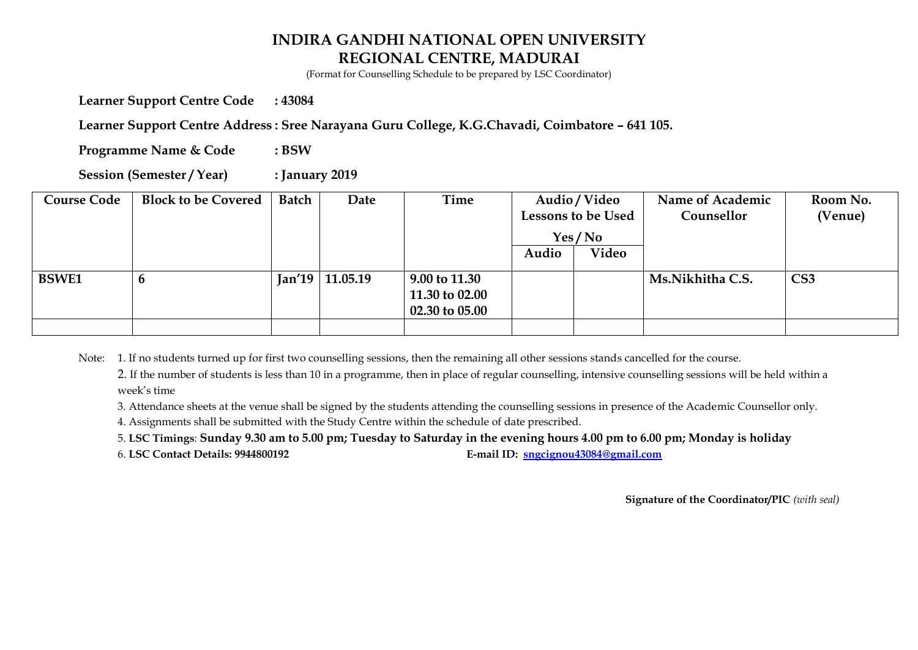(Format for Counselling Schedule to be prepared by LSC Coordinator)

**Learner Support Centre Code : 43084** 

Learner Support Centre Address : Sree Narayana Guru College, K.G.Chavadi, Coimbatore - 641 105.

**Programme Name & Code : BSW** 

**Session (Semester / Year) : January 2019** 

| <b>Course Code</b> | <b>Block to be Covered</b> | <b>Batch</b> | Date              | Time                                                         | Audio / Video             |       | Name of Academic | Room No.        |
|--------------------|----------------------------|--------------|-------------------|--------------------------------------------------------------|---------------------------|-------|------------------|-----------------|
|                    |                            |              |                   |                                                              | <b>Lessons to be Used</b> |       | Counsellor       | (Venue)         |
|                    |                            |              |                   |                                                              | Yes/No                    |       |                  |                 |
|                    |                            |              |                   |                                                              | Audio                     | Video |                  |                 |
| <b>BSWE1</b>       |                            |              | $Jan'19$ 11.05.19 | 9.00 to 11.30<br>11.30 to 02.00<br>$02.30 \text{ to } 05.00$ |                           |       | Ms.Nikhitha C.S. | CS <sub>3</sub> |
|                    |                            |              |                   |                                                              |                           |       |                  |                 |

Note: 1. If no students turned up for first two counselling sessions, then the remaining all other sessions stands cancelled for the course.

2. If the number of students is less than 10 in a programme, then in place of regular counselling, intensive counselling sessions will be held within a week's time

3. Attendance sheets at the venue shall be signed by the students attending the counselling sessions in presence of the Academic Counsellor only.

4. Assignments shall be submitted with the Study Centre within the schedule of date prescribed.

5. **LSC Timings**: **Sunday 9.30 am to 5.00 pm; Tuesday to Saturday in the evening hours 4.00 pm to 6.00 pm; Monday is holiday** 

6. **LSC Contact Details: 9944800192 E-mail ID: [sngcignou43084@gmail.com](mailto:sngcignou43084@gmail.com)**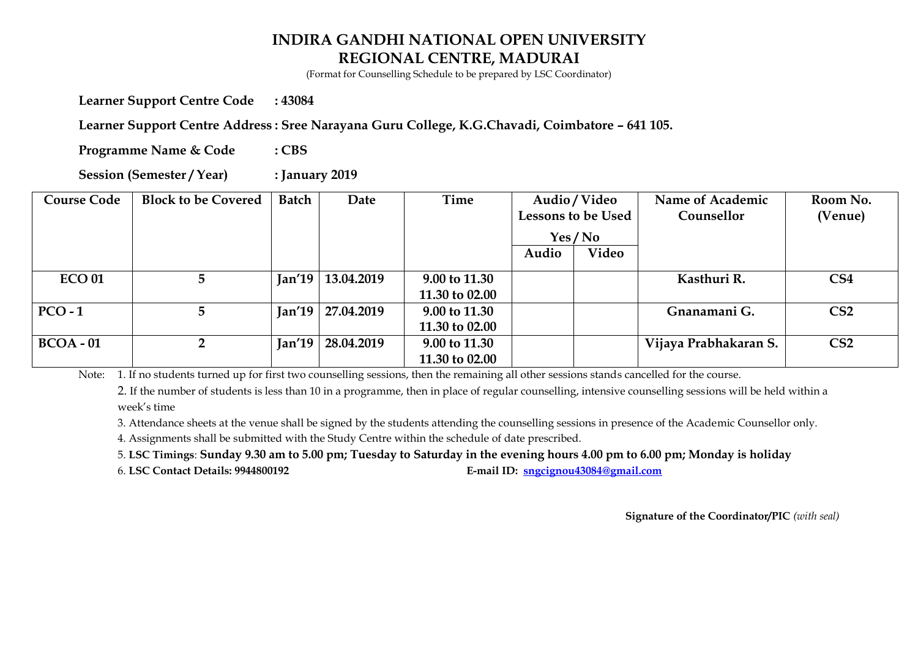(Format for Counselling Schedule to be prepared by LSC Coordinator)

**Learner Support Centre Code : 43084** 

Learner Support Centre Address : Sree Narayana Guru College, K.G.Chavadi, Coimbatore - 641 105.

**Programme Name & Code : CBS** 

**Session (Semester / Year) : January 2019** 

| <b>Course Code</b> | <b>Block to be Covered</b> | <b>Batch</b>            | Date       | Time           | Audio / Video |                    | Name of Academic      | Room No.        |
|--------------------|----------------------------|-------------------------|------------|----------------|---------------|--------------------|-----------------------|-----------------|
|                    |                            |                         |            |                |               | Lessons to be Used | Counsellor            | (Venue)         |
|                    |                            |                         |            |                | Yes / No      |                    |                       |                 |
|                    |                            |                         |            |                | Audio         | Video              |                       |                 |
| <b>ECO 01</b>      | 5 <sup>5</sup>             | $\lceil$ an'19 $\lceil$ | 13.04.2019 | 9.00 to 11.30  |               |                    | Kasthuri R.           | CS <sub>4</sub> |
|                    |                            |                         |            | 11.30 to 02.00 |               |                    |                       |                 |
| $PCO-1$            | 5                          | $\lceil$ an'19 $\lceil$ | 27.04.2019 | 9.00 to 11.30  |               |                    | Gnanamani G.          | CS <sub>2</sub> |
|                    |                            |                         |            | 11.30 to 02.00 |               |                    |                       |                 |
| $BCOA - 01$        | $\overline{2}$             | $\lceil$ an'19 $\lceil$ | 28.04.2019 | 9.00 to 11.30  |               |                    | Vijaya Prabhakaran S. | CS <sub>2</sub> |
|                    |                            |                         |            | 11.30 to 02.00 |               |                    |                       |                 |

Note: 1. If no students turned up for first two counselling sessions, then the remaining all other sessions stands cancelled for the course.

2. If the number of students is less than 10 in a programme, then in place of regular counselling, intensive counselling sessions will be held within a week's time

3. Attendance sheets at the venue shall be signed by the students attending the counselling sessions in presence of the Academic Counsellor only.

4. Assignments shall be submitted with the Study Centre within the schedule of date prescribed.

5. **LSC Timings**: **Sunday 9.30 am to 5.00 pm; Tuesday to Saturday in the evening hours 4.00 pm to 6.00 pm; Monday is holiday** 

6. **LSC Contact Details: 9944800192 E-mail ID: [sngcignou43084@gmail.com](mailto:sngcignou43084@gmail.com)**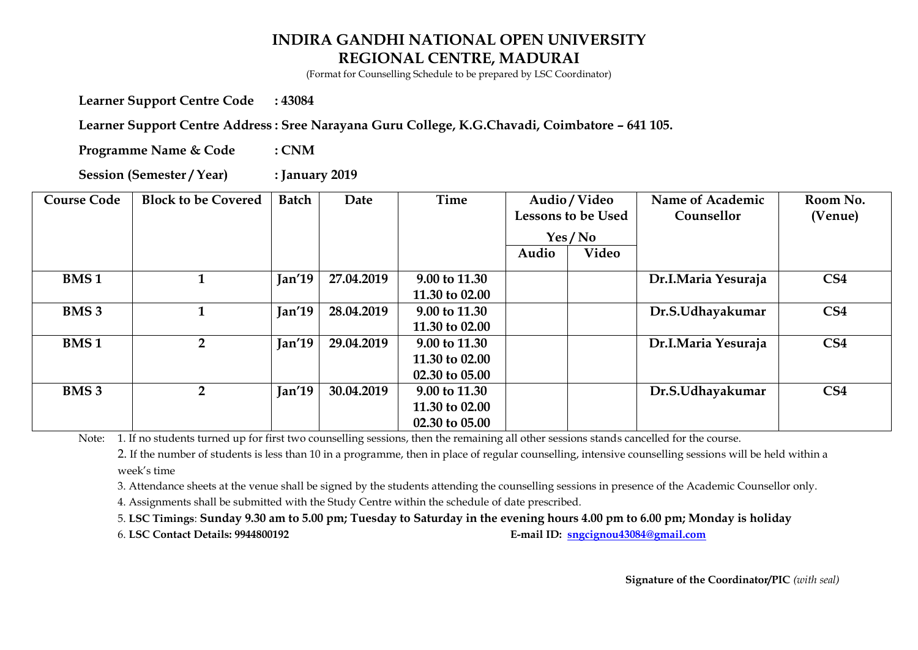(Format for Counselling Schedule to be prepared by LSC Coordinator)

**Learner Support Centre Code : 43084** 

Learner Support Centre Address : Sree Narayana Guru College, K.G.Chavadi, Coimbatore - 641 105.

**Programme Name & Code : CNM** 

**Session (Semester / Year) : January 2019** 

| <b>Course Code</b> | <b>Block to be Covered</b> | <b>Batch</b> | Date       | <b>Time</b>    | Audio / Video<br>Lessons to be Used |        | Name of Academic<br>Counsellor | Room No.<br>(Venue) |
|--------------------|----------------------------|--------------|------------|----------------|-------------------------------------|--------|--------------------------------|---------------------|
|                    |                            |              |            |                |                                     | Yes/No |                                |                     |
|                    |                            |              |            |                | Audio                               | Video  |                                |                     |
| <b>BMS1</b>        |                            | Jan'19       | 27.04.2019 | 9.00 to 11.30  |                                     |        | Dr.I.Maria Yesuraja            | CS <sub>4</sub>     |
|                    |                            |              |            | 11.30 to 02.00 |                                     |        |                                |                     |
| <b>BMS 3</b>       |                            | Jan'19       | 28.04.2019 | 9.00 to 11.30  |                                     |        | Dr.S.Udhayakumar               | CS <sub>4</sub>     |
|                    |                            |              |            | 11.30 to 02.00 |                                     |        |                                |                     |
| <b>BMS1</b>        | 2 <sup>1</sup>             | Jan'19       | 29.04.2019 | 9.00 to 11.30  |                                     |        | Dr.I.Maria Yesuraja            | CS <sub>4</sub>     |
|                    |                            |              |            | 11.30 to 02.00 |                                     |        |                                |                     |
|                    |                            |              |            | 02.30 to 05.00 |                                     |        |                                |                     |
| <b>BMS 3</b>       | $\overline{2}$             | Jan'19       | 30.04.2019 | 9.00 to 11.30  |                                     |        | Dr.S.Udhayakumar               | CS <sub>4</sub>     |
|                    |                            |              |            | 11.30 to 02.00 |                                     |        |                                |                     |
|                    |                            |              |            | 02.30 to 05.00 |                                     |        |                                |                     |

Note: 1. If no students turned up for first two counselling sessions, then the remaining all other sessions stands cancelled for the course.

2. If the number of students is less than 10 in a programme, then in place of regular counselling, intensive counselling sessions will be held within a week's time

3. Attendance sheets at the venue shall be signed by the students attending the counselling sessions in presence of the Academic Counsellor only.

4. Assignments shall be submitted with the Study Centre within the schedule of date prescribed.

5. **LSC Timings**: **Sunday 9.30 am to 5.00 pm; Tuesday to Saturday in the evening hours 4.00 pm to 6.00 pm; Monday is holiday** 

6. **LSC Contact Details: 9944800192 E-mail ID: [sngcignou43084@gmail.com](mailto:sngcignou43084@gmail.com)**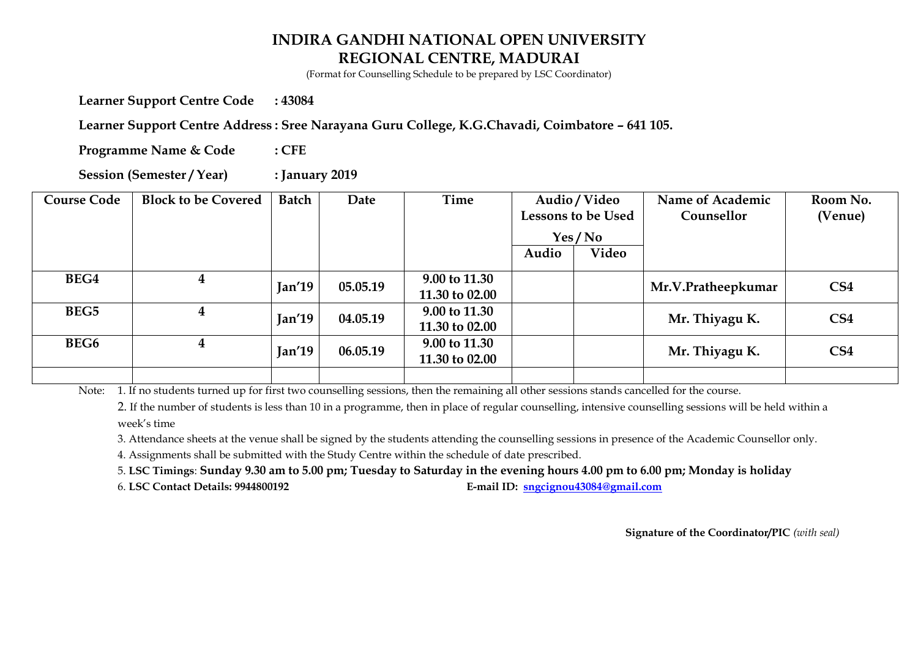(Format for Counselling Schedule to be prepared by LSC Coordinator)

**Learner Support Centre Code : 43084** 

Learner Support Centre Address : Sree Narayana Guru College, K.G.Chavadi, Coimbatore - 641 105.

**Programme Name & Code : CFE** 

**Session (Semester / Year) : January 2019** 

| <b>Course Code</b> | <b>Block to be Covered</b> | Batch  | Date               | Time           | Audio / Video |                           | Name of Academic   | Room No.        |
|--------------------|----------------------------|--------|--------------------|----------------|---------------|---------------------------|--------------------|-----------------|
|                    |                            |        |                    |                |               | <b>Lessons to be Used</b> | Counsellor         | (Venue)         |
|                    |                            |        |                    |                | Yes / No      |                           |                    |                 |
|                    |                            |        |                    |                | Audio         | Video                     |                    |                 |
| BEG4               | 4                          |        |                    | 9.00 to 11.30  |               |                           | Mr.V.Pratheepkumar | CS <sub>4</sub> |
|                    |                            |        | Jan'19<br>05.05.19 | 11.30 to 02.00 |               |                           |                    |                 |
| BEG5               |                            | Jan'19 | 04.05.19           | 9.00 to 11.30  |               |                           | Mr. Thiyagu K.     | CS <sub>4</sub> |
|                    |                            |        |                    | 11.30 to 02.00 |               |                           |                    |                 |
| BEG <sub>6</sub>   | 4                          | Jan'19 | 06.05.19           | 9.00 to 11.30  |               |                           | Mr. Thiyagu K.     | CS <sub>4</sub> |
|                    |                            |        |                    | 11.30 to 02.00 |               |                           |                    |                 |
|                    |                            |        |                    |                |               |                           |                    |                 |

Note: 1. If no students turned up for first two counselling sessions, then the remaining all other sessions stands cancelled for the course.

2. If the number of students is less than 10 in a programme, then in place of regular counselling, intensive counselling sessions will be held within a week's time

3. Attendance sheets at the venue shall be signed by the students attending the counselling sessions in presence of the Academic Counsellor only.

4. Assignments shall be submitted with the Study Centre within the schedule of date prescribed.

5. **LSC Timings**: **Sunday 9.30 am to 5.00 pm; Tuesday to Saturday in the evening hours 4.00 pm to 6.00 pm; Monday is holiday** 

6. **LSC Contact Details: 9944800192 E-mail ID: [sngcignou43084@gmail.com](mailto:sngcignou43084@gmail.com)**